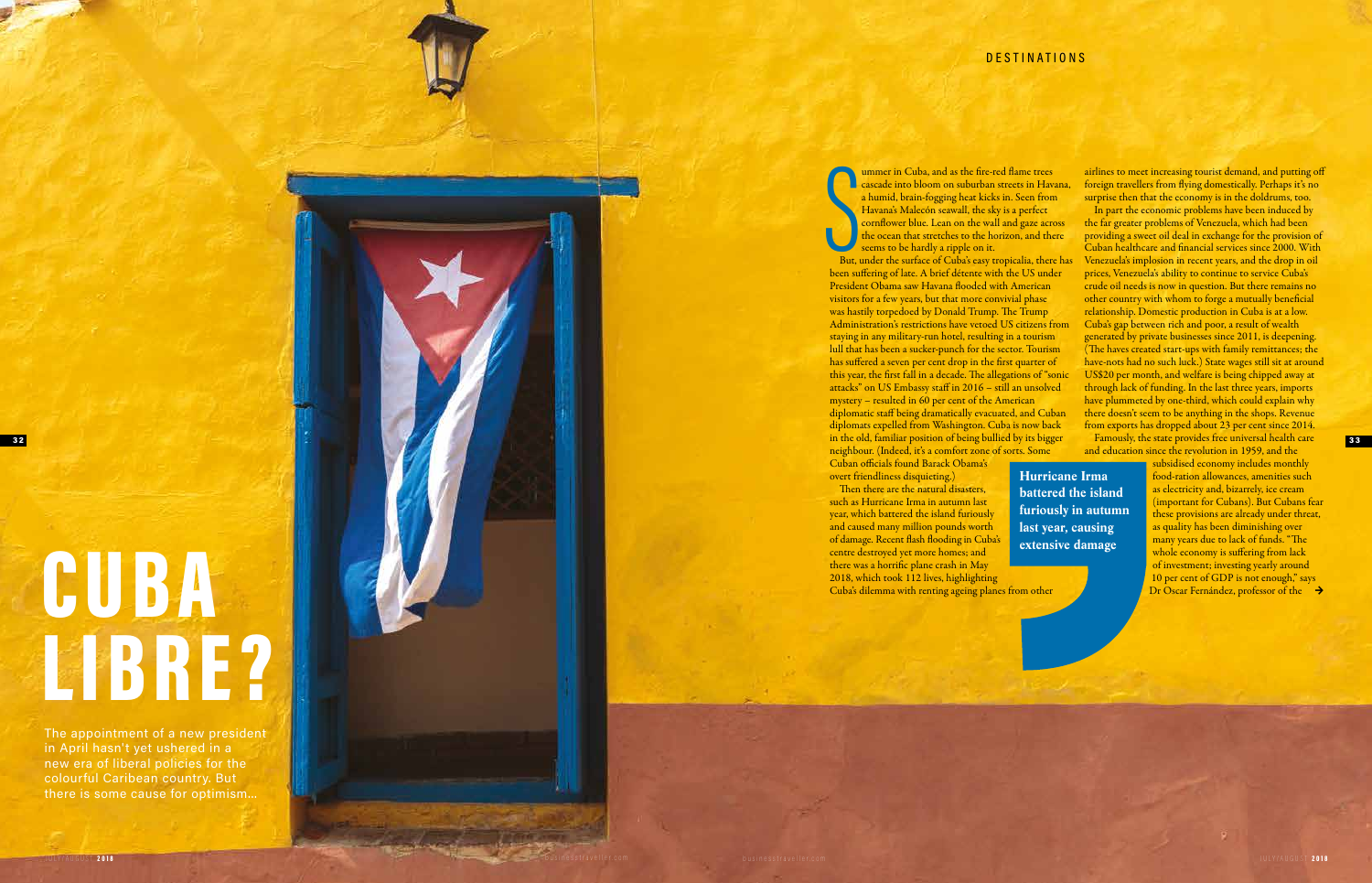# 3 2

 $\sum_{\substack{\text{But, }\\ \text{been su}}}$ ummer in Cuba, and as the fire-red flame trees cascade into bloom on suburban streets in Havana, a humid, brain-fogging heat kicks in. Seen from Havana's Malecón seawall, the sky is a perfect cornflower blue. Lean on the wall and gaze across the ocean that stretches to the horizon, and there seems to be hardly a ripple on it.

But, under the surface of Cuba's easy tropicalia, there has been suffering of late. A brief détente with the US under President Obama saw Havana flooded with American visitors for a few years, but that more convivial phase was hastily torpedoed by Donald Trump. The Trump Administration's restrictions have vetoed US citizens from staying in any military-run hotel, resulting in a tourism lull that has been a sucker-punch for the sector. Tourism has suffered a seven per cent drop in the first quarter of this year, the first fall in a decade. The allegations of "sonic attacks" on US Embassy staff in 2016 – still an unsolved mystery – resulted in 60 per cent of the American diplomatic staff being dramatically evacuated, and Cuban diplomats expelled from Washington. Cuba is now back in the old, familiar position of being bullied by its bigger neighbour. (Indeed, it's a comfort zone of sorts. Some

Then there are the natural disasters, such as Hurricane Irma in autumn last year, which battered the island furiously and caused many million pounds worth of damage. Recent flash flooding in Cuba's centre destroyed yet more homes; and there was a horrific plane crash in May 2018, which took 112 lives, highlighting

# **CUBA** LIBRE?

Cuban officials found Barack Obama's overt friendliness disquieting.)

In part the economic problems have been induced by the far greater problems of Venezuela, which had been providing a sweet oil deal in exchange for the provision of Cuban healthcare and financial services since 2000. With Venezuela's implosion in recent years, and the drop in oil prices, Venezuela's ability to continue to service Cuba's crude oil needs is now in question. But there remains no other country with whom to forge a mutually beneficial relationship. Domestic production in Cuba is at a low. Cuba's gap between rich and poor, a result of wealth generated by private businesses since 2011, is deepening. (The haves created start-ups with family remittances; the have-nots had no such luck.) State wages still sit at around US\$20 per month, and welfare is being chipped away at through lack of funding. In the last three years, imports have plummeted by one-third, which could explain why there doesn't seem to be anything in the shops. Revenue from exports has dropped about 23 per cent since 2014. Famously, the state provides free universal health care and education since the revolution in 1959, and the

Cuba's dilemma with renting ageing planes from other

The appointment of a new president in April hasn't yet ushered in a new era of liberal policies for the colourful Caribean country. But there is some cause for optimism...

JULY/AUGUST 2018 businesstraveller.com

airlines to meet increasing tourist demand, and putting off foreign travellers from flying domestically. Perhaps it's no surprise then that the economy is in the doldrums, too.

**Hurricane Irma battered the island furiously in autumn last year, causing extensive damage**

Dr Oscar Fernández, professor of the → subsidised economy includes monthly food-ration allowances, amenities such as electricity and, bizarrely, ice cream (important for Cubans). But Cubans fear these provisions are already under threat, as quality has been diminishing over many years due to lack of funds. "The whole economy is suffering from lack of investment; investing yearly around 10 per cent of GDP is not enough," says

33

businesstraveller.com JULY/AUGUST 2018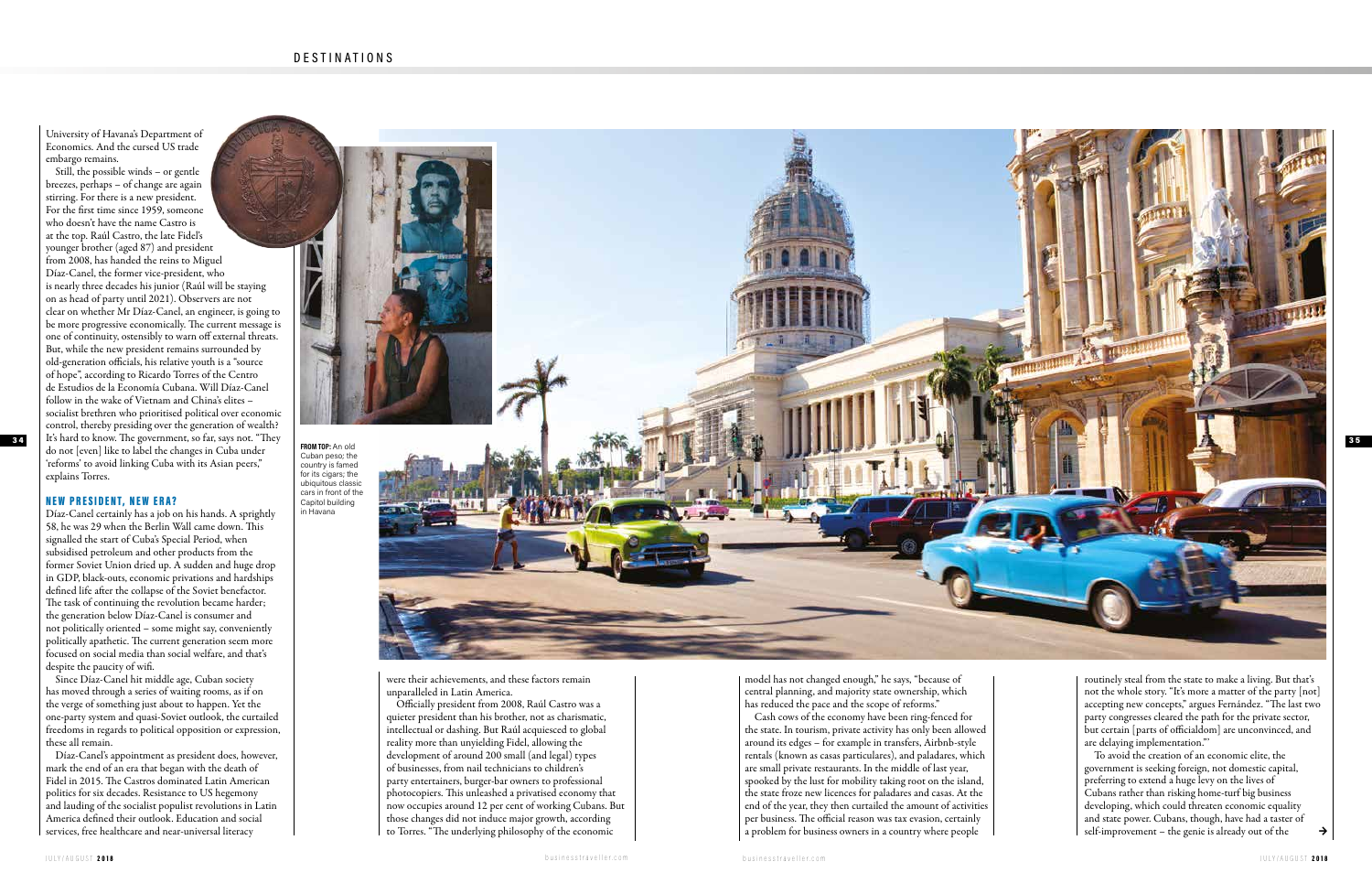University of Havana's Department of Economics. And the cursed US trade embargo remains.



Still, the possible winds – or gentle breezes, perhaps – of change are again stirring. For there is a new president. For the first time since 1959, someone who doesn't have the name Castro is at the top. Raúl Castro, the late Fidel's younger brother (aged 87) and president from 2008, has handed the reins to Miguel Díaz-Canel, the former vice-president, who is nearly three decades his junior (Raúl will be staying on as head of party until 2021). Observers are not clear on whether Mr Díaz-Canel, an engineer, is going to be more progressive economically. The current message is one of continuity, ostensibly to warn off external threats. But, while the new president remains surrounded by old-generation officials, his relative youth is a "source of hope", according to Ricardo Torres of the Centro de Estudios de la Economía Cubana. Will Díaz-Canel follow in the wake of Vietnam and China's elites – socialist brethren who prioritised political over economic control, thereby presiding over the generation of wealth? do not [even] like to label the changes in Cuba under 'reforms' to avoid linking Cuba with its Asian peers," explains Torres.

> model has not changed enough," he says, "because of central planning, and majority state ownership, which has reduced the pace and the scope of reforms."

### NEW PRESIDENT, NEW ERA?

Díaz-Canel certainly has a job on his hands. A sprightly 58, he was 29 when the Berlin Wall came down. This signalled the start of Cuba's Special Period, when subsidised petroleum and other products from the former Soviet Union dried up. A sudden and huge drop in GDP, black-outs, economic privations and hardships defined life after the collapse of the Soviet benefactor. The task of continuing the revolution became harder; the generation below Díaz-Canel is consumer and not politically oriented – some might say, conveniently politically apathetic. The current generation seem more focused on social media than social welfare, and that's despite the paucity of wifi.

Since Díaz-Canel hit middle age, Cuban society has moved through a series of waiting rooms, as if on the verge of something just about to happen. Yet the one-party system and quasi-Soviet outlook, the curtailed freedoms in regards to political opposition or expression, these all remain.

> To avoid the creation of an economic elite, the government is seeking foreign, not domestic capital, preferring to extend a huge levy on the lives of Cubans rather than risking home-turf big business developing, which could threaten economic equality and state power. Cubans, though, have had a taster of self-improvement – the genie is already out of the  $\rightarrow$

Díaz-Canel's appointment as president does, however, mark the end of an era that began with the death of Fidel in 2015. The Castros dominated Latin American politics for six decades. Resistance to US hegemony and lauding of the socialist populist revolutions in Latin America defined their outlook. Education and social services, free healthcare and near-universal literacy

![](_page_1_Picture_7.jpeg)

Cash cows of the economy have been ring-fenced for the state. In tourism, private activity has only been allowed around its edges – for example in transfers, Airbnb-style rentals (known as casas particulares), and paladares, which are small private restaurants. In the middle of last year, spooked by the lust for mobility taking root on the island, the state froze new licences for paladares and casas. At the end of the year, they then curtailed the amount of activities per business. The official reason was tax evasion, certainly a problem for business owners in a country where people

were their achievements, and these factors remain unparalleled in Latin America.

Officially president from 2008, Raúl Castro was a quieter president than his brother, not as charismatic, intellectual or dashing. But Raúl acquiesced to global reality more than unyielding Fidel, allowing the development of around 200 small (and legal) types of businesses, from nail technicians to children's party entertainers, burger-bar owners to professional photocopiers. This unleashed a privatised economy that now occupies around 12 per cent of working Cubans. But those changes did not induce major growth, according to Torres. "The underlying philosophy of the economic

**FROM TOP:** An old Cuban peso; the country is famed for its cigars; the ubiquitous classic cars in front of the Capitol building in Havana

routinely steal from the state to make a living. But that's not the whole story. "It's more a matter of the party [not] accepting new concepts," argues Fernández. "The last two party congresses cleared the path for the private sector, but certain [parts of officialdom] are unconvinced, and are delaying implementation."'